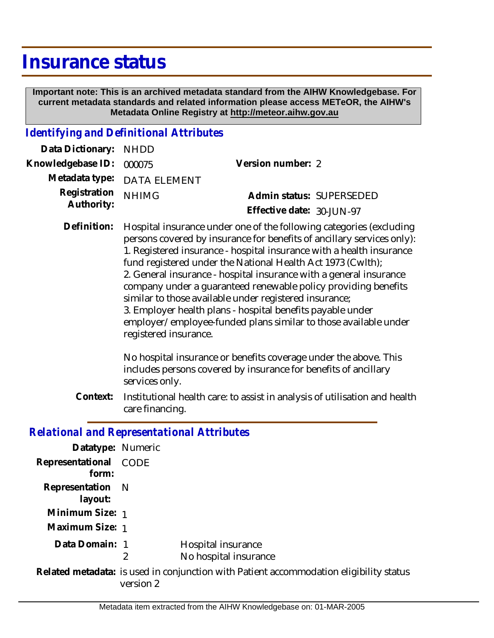## **Insurance status**

 **Important note: This is an archived metadata standard from the AIHW Knowledgebase. For current metadata standards and related information please access METeOR, the AIHW's Metadata Online Registry at http://meteor.aihw.gov.au**

## *Identifying and Definitional Attributes*

| Data Dictionary: NHDD            |                             |                           |  |
|----------------------------------|-----------------------------|---------------------------|--|
| Knowledgebase ID: 000075         |                             | Version number: 2         |  |
|                                  | Metadata type: DATA ELEMENT |                           |  |
| Registration NHIMG<br>Authority: |                             | Admin status: SUPERSEDED  |  |
|                                  |                             | Effective date: 30-JUN-97 |  |

Hospital insurance under one of the following categories (excluding persons covered by insurance for benefits of ancillary services only): 1. Registered insurance - hospital insurance with a health insurance fund registered under the National Health Act 1973 (Cwlth); 2. General insurance - hospital insurance with a general insurance company under a guaranteed renewable policy providing benefits similar to those available under registered insurance; 3. Employer health plans - hospital benefits payable under employer/employee-funded plans similar to those available under registered insurance. **Definition:**

> No hospital insurance or benefits coverage under the above. This includes persons covered by insurance for benefits of ancillary services only.

Institutional health care: to assist in analysis of utilisation and health care financing. **Context:**

## *Relational and Representational Attributes*

| Datatype: Numeric           |             |                                                                                        |
|-----------------------------|-------------|----------------------------------------------------------------------------------------|
| Representational<br>form:   | <b>CODE</b> |                                                                                        |
| Representation N<br>layout: |             |                                                                                        |
| Minimum Size: 1             |             |                                                                                        |
| Maximum Size: 1             |             |                                                                                        |
| Data Domain: 1              | 2           | Hospital insurance<br>No hospital insurance                                            |
|                             | version 2   | Related metadata: is used in conjunction with Patient accommodation eligibility status |